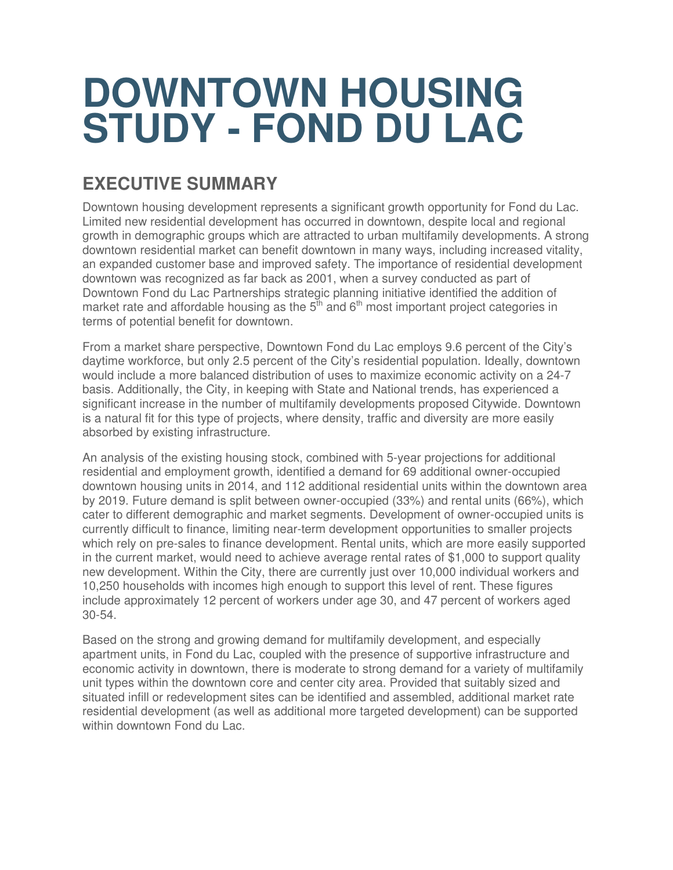# **DOWNTOWN HOUSING STUDY - FOND DU LAC**

# **EXECUTIVE SUMMARY**

Downtown housing development represents a significant growth opportunity for Fond du Lac. Limited new residential development has occurred in downtown, despite local and regional growth in demographic groups which are attracted to urban multifamily developments. A strong downtown residential market can benefit downtown in many ways, including increased vitality, an expanded customer base and improved safety. The importance of residential development downtown was recognized as far back as 2001, when a survey conducted as part of Downtown Fond du Lac Partnerships strategic planning initiative identified the addition of market rate and affordable housing as the  $5<sup>th</sup>$  and  $6<sup>th</sup>$  most important project categories in terms of potential benefit for downtown.

From a market share perspective, Downtown Fond du Lac employs 9.6 percent of the City's daytime workforce, but only 2.5 percent of the City's residential population. Ideally, downtown would include a more balanced distribution of uses to maximize economic activity on a 24-7 basis. Additionally, the City, in keeping with State and National trends, has experienced a significant increase in the number of multifamily developments proposed Citywide. Downtown is a natural fit for this type of projects, where density, traffic and diversity are more easily absorbed by existing infrastructure.

An analysis of the existing housing stock, combined with 5-year projections for additional residential and employment growth, identified a demand for 69 additional owner-occupied downtown housing units in 2014, and 112 additional residential units within the downtown area by 2019. Future demand is split between owner-occupied (33%) and rental units (66%), which cater to different demographic and market segments. Development of owner-occupied units is currently difficult to finance, limiting near-term development opportunities to smaller projects which rely on pre-sales to finance development. Rental units, which are more easily supported in the current market, would need to achieve average rental rates of \$1,000 to support quality new development. Within the City, there are currently just over 10,000 individual workers and 10,250 households with incomes high enough to support this level of rent. These figures include approximately 12 percent of workers under age 30, and 47 percent of workers aged 30-54.

Based on the strong and growing demand for multifamily development, and especially apartment units, in Fond du Lac, coupled with the presence of supportive infrastructure and economic activity in downtown, there is moderate to strong demand for a variety of multifamily unit types within the downtown core and center city area. Provided that suitably sized and situated infill or redevelopment sites can be identified and assembled, additional market rate residential development (as well as additional more targeted development) can be supported within downtown Fond du Lac.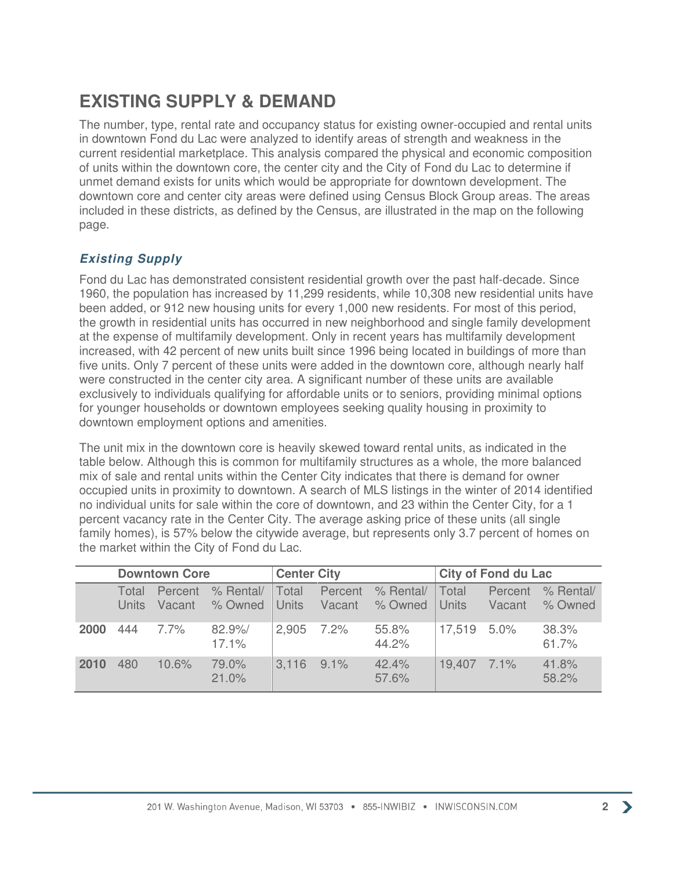# **EXISTING SUPPLY & DEMAND**

The number, type, rental rate and occupancy status for existing owner-occupied and rental units in downtown Fond du Lac were analyzed to identify areas of strength and weakness in the current residential marketplace. This analysis compared the physical and economic composition of units within the downtown core, the center city and the City of Fond du Lac to determine if unmet demand exists for units which would be appropriate for downtown development. The downtown core and center city areas were defined using Census Block Group areas. The areas included in these districts, as defined by the Census, are illustrated in the map on the following page.

#### **Existing Supply**

Fond du Lac has demonstrated consistent residential growth over the past half-decade. Since 1960, the population has increased by 11,299 residents, while 10,308 new residential units have been added, or 912 new housing units for every 1,000 new residents. For most of this period, the growth in residential units has occurred in new neighborhood and single family development at the expense of multifamily development. Only in recent years has multifamily development increased, with 42 percent of new units built since 1996 being located in buildings of more than five units. Only 7 percent of these units were added in the downtown core, although nearly half were constructed in the center city area. A significant number of these units are available exclusively to individuals qualifying for affordable units or to seniors, providing minimal options for younger households or downtown employees seeking quality housing in proximity to downtown employment options and amenities.

The unit mix in the downtown core is heavily skewed toward rental units, as indicated in the table below. Although this is common for multifamily structures as a whole, the more balanced mix of sale and rental units within the Center City indicates that there is demand for owner occupied units in proximity to downtown. A search of MLS listings in the winter of 2014 identified no individual units for sale within the core of downtown, and 23 within the Center City, for a 1 percent vacancy rate in the Center City. The average asking price of these units (all single family homes), is 57% below the citywide average, but represents only 3.7 percent of homes on the market within the City of Fond du Lac.

|      | <b>Downtown Core</b> |          |                             | <b>Center City</b>    |                   |                      | <b>City of Fond du Lac</b> |                   |                      |
|------|----------------------|----------|-----------------------------|-----------------------|-------------------|----------------------|----------------------------|-------------------|----------------------|
|      | Total<br>Units       | Percent  | % Rental/<br>Vacant % Owned | Total<br><b>Units</b> | Percent<br>Vacant | % Rental/<br>% Owned | Total<br><b>Units</b>      | Percent<br>Vacant | % Rental/<br>% Owned |
| 2000 | 444                  | 7.7%     | 82.9%<br>17.1%              | 2,905 7.2%            |                   | 55.8%<br>44.2%       | 17,519 5.0%                |                   | 38.3%<br>61.7%       |
| 2010 | 480                  | $10.6\%$ | 79.0%<br>21.0%              | 3,116                 | $9.1\%$           | 42.4%<br>57.6%       | 19.407 7.1%                |                   | 41.8%<br>58.2%       |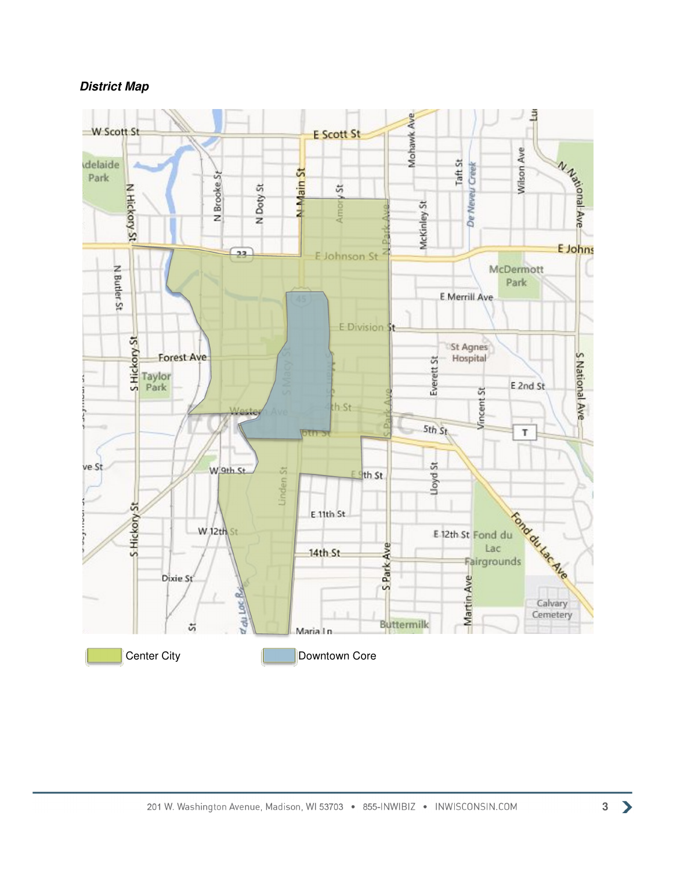#### **District Map**

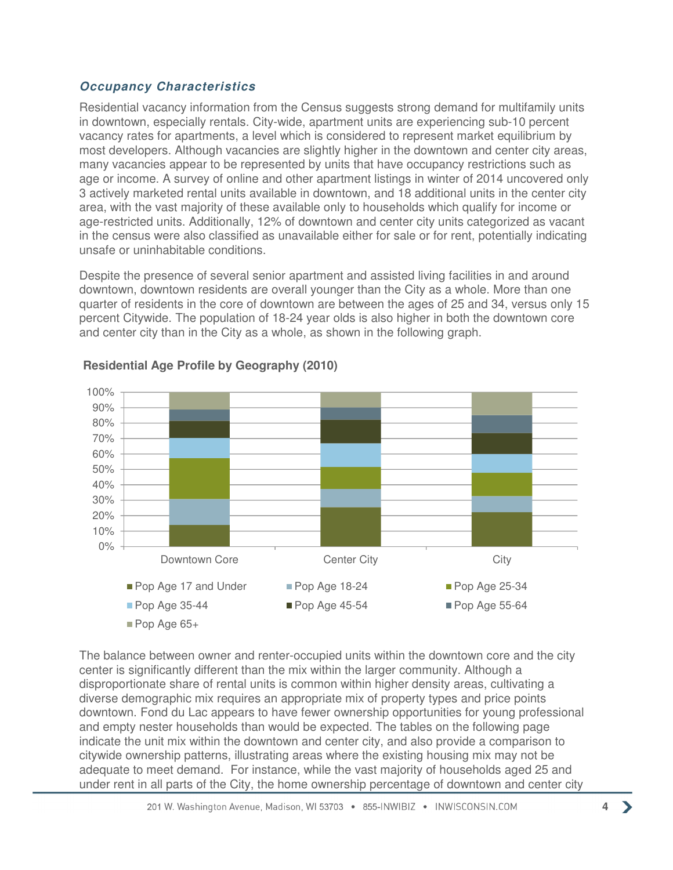#### **Occupancy Characteristics**

Residential vacancy information from the Census suggests strong demand for multifamily units in downtown, especially rentals. City-wide, apartment units are experiencing sub-10 percent vacancy rates for apartments, a level which is considered to represent market equilibrium by most developers. Although vacancies are slightly higher in the downtown and center city areas, many vacancies appear to be represented by units that have occupancy restrictions such as age or income. A survey of online and other apartment listings in winter of 2014 uncovered only 3 actively marketed rental units available in downtown, and 18 additional units in the center city area, with the vast majority of these available only to households which qualify for income or age-restricted units. Additionally, 12% of downtown and center city units categorized as vacant in the census were also classified as unavailable either for sale or for rent, potentially indicating unsafe or uninhabitable conditions.

Despite the presence of several senior apartment and assisted living facilities in and around downtown, downtown residents are overall younger than the City as a whole. More than one quarter of residents in the core of downtown are between the ages of 25 and 34, versus only 15 percent Citywide. The population of 18-24 year olds is also higher in both the downtown core and center city than in the City as a whole, as shown in the following graph.



#### **Residential Age Profile by Geography (2010)**

The balance between owner and renter-occupied units within the downtown core and the city center is significantly different than the mix within the larger community. Although a disproportionate share of rental units is common within higher density areas, cultivating a diverse demographic mix requires an appropriate mix of property types and price points downtown. Fond du Lac appears to have fewer ownership opportunities for young professional and empty nester households than would be expected. The tables on the following page indicate the unit mix within the downtown and center city, and also provide a comparison to citywide ownership patterns, illustrating areas where the existing housing mix may not be adequate to meet demand. For instance, while the vast majority of households aged 25 and under rent in all parts of the City, the home ownership percentage of downtown and center city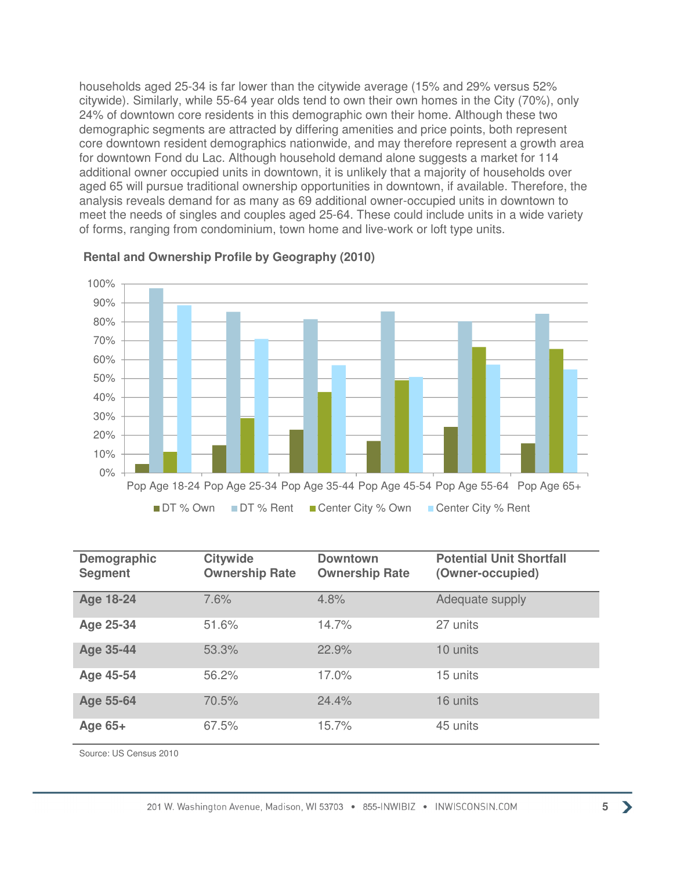households aged 25-34 is far lower than the citywide average (15% and 29% versus 52% citywide). Similarly, while 55-64 year olds tend to own their own homes in the City (70%), only 24% of downtown core residents in this demographic own their home. Although these two demographic segments are attracted by differing amenities and price points, both represent core downtown resident demographics nationwide, and may therefore represent a growth area for downtown Fond du Lac. Although household demand alone suggests a market for 114 additional owner occupied units in downtown, it is unlikely that a majority of households over aged 65 will pursue traditional ownership opportunities in downtown, if available. Therefore, the analysis reveals demand for as many as 69 additional owner-occupied units in downtown to meet the needs of singles and couples aged 25-64. These could include units in a wide variety of forms, ranging from condominium, town home and live-work or loft type units.



#### **Rental and Ownership Profile by Geography (2010)**

| Demographic<br><b>Segment</b> | <b>Citywide</b><br><b>Ownership Rate</b> | <b>Downtown</b><br><b>Ownership Rate</b> | <b>Potential Unit Shortfall</b><br>(Owner-occupied) |
|-------------------------------|------------------------------------------|------------------------------------------|-----------------------------------------------------|
| <b>Age 18-24</b>              | 7.6%                                     | 4.8%                                     | Adequate supply                                     |
| Age 25-34                     | 51.6%                                    | 14.7%                                    | 27 units                                            |
| <b>Age 35-44</b>              | 53.3%                                    | 22.9%                                    | 10 units                                            |
| Age 45-54                     | 56.2%                                    | 17.0%                                    | 15 units                                            |
| Age 55-64                     | 70.5%                                    | 24.4%                                    | 16 units                                            |
| Age $65+$                     | 67.5%                                    | 15.7%                                    | 45 units                                            |

Source: US Census 2010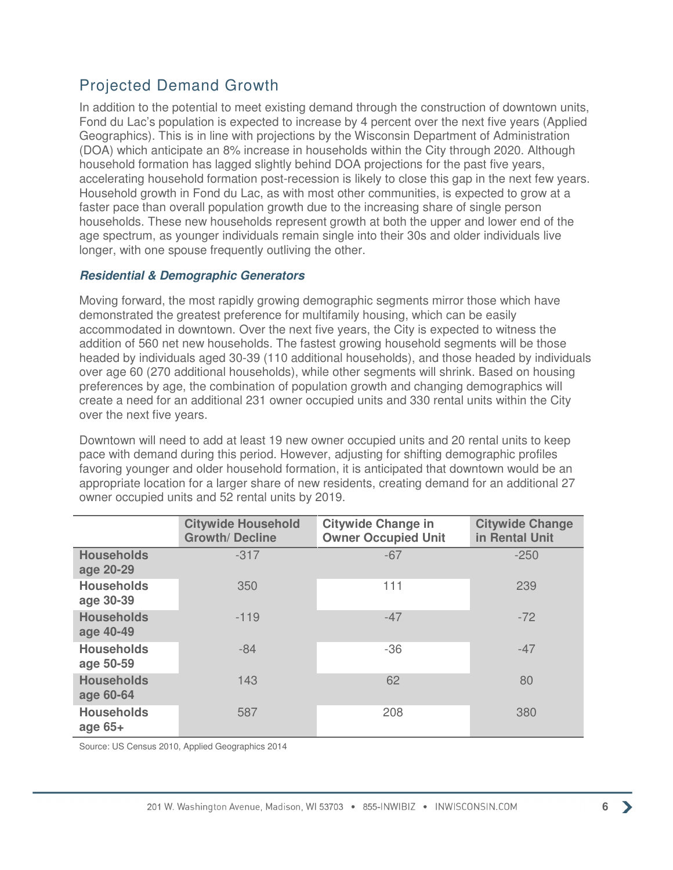## Projected Demand Growth

In addition to the potential to meet existing demand through the construction of downtown units, Fond du Lac's population is expected to increase by 4 percent over the next five years (Applied Geographics). This is in line with projections by the Wisconsin Department of Administration (DOA) which anticipate an 8% increase in households within the City through 2020. Although household formation has lagged slightly behind DOA projections for the past five years, accelerating household formation post-recession is likely to close this gap in the next few years. Household growth in Fond du Lac, as with most other communities, is expected to grow at a faster pace than overall population growth due to the increasing share of single person households. These new households represent growth at both the upper and lower end of the age spectrum, as younger individuals remain single into their 30s and older individuals live longer, with one spouse frequently outliving the other.

#### **Residential & Demographic Generators**

Moving forward, the most rapidly growing demographic segments mirror those which have demonstrated the greatest preference for multifamily housing, which can be easily accommodated in downtown. Over the next five years, the City is expected to witness the addition of 560 net new households. The fastest growing household segments will be those headed by individuals aged 30-39 (110 additional households), and those headed by individuals over age 60 (270 additional households), while other segments will shrink. Based on housing preferences by age, the combination of population growth and changing demographics will create a need for an additional 231 owner occupied units and 330 rental units within the City over the next five years.

Downtown will need to add at least 19 new owner occupied units and 20 rental units to keep pace with demand during this period. However, adjusting for shifting demographic profiles favoring younger and older household formation, it is anticipated that downtown would be an appropriate location for a larger share of new residents, creating demand for an additional 27 owner occupied units and 52 rental units by 2019.

|                                | <b>Citywide Household</b><br><b>Growth/Decline</b> | <b>Citywide Change in</b><br><b>Owner Occupied Unit</b> | <b>Citywide Change</b><br>in Rental Unit |
|--------------------------------|----------------------------------------------------|---------------------------------------------------------|------------------------------------------|
| <b>Households</b><br>age 20-29 | $-317$                                             | $-67$                                                   | $-250$                                   |
| <b>Households</b><br>age 30-39 | 350                                                | 111                                                     | 239                                      |
| <b>Households</b><br>age 40-49 | $-119$                                             | $-47$                                                   | $-72$                                    |
| <b>Households</b><br>age 50-59 | $-84$                                              | $-36$                                                   | $-47$                                    |
| <b>Households</b><br>age 60-64 | 143                                                | 62                                                      | 80                                       |
| <b>Households</b><br>age $65+$ | 587                                                | 208                                                     | 380                                      |

Source: US Census 2010, Applied Geographics 2014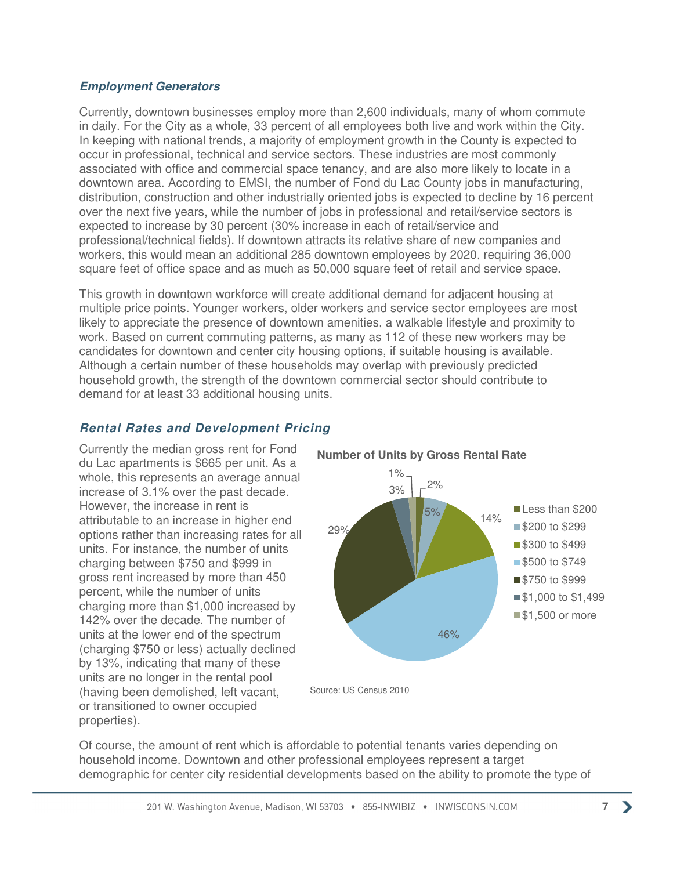#### **Employment Generators**

Currently, downtown businesses employ more than 2,600 individuals, many of whom commute in daily. For the City as a whole, 33 percent of all employees both live and work within the City. In keeping with national trends, a majority of employment growth in the County is expected to occur in professional, technical and service sectors. These industries are most commonly associated with office and commercial space tenancy, and are also more likely to locate in a downtown area. According to EMSI, the number of Fond du Lac County jobs in manufacturing, distribution, construction and other industrially oriented jobs is expected to decline by 16 percent over the next five years, while the number of jobs in professional and retail/service sectors is expected to increase by 30 percent (30% increase in each of retail/service and professional/technical fields). If downtown attracts its relative share of new companies and workers, this would mean an additional 285 downtown employees by 2020, requiring 36,000 square feet of office space and as much as 50,000 square feet of retail and service space.

This growth in downtown workforce will create additional demand for adjacent housing at multiple price points. Younger workers, older workers and service sector employees are most likely to appreciate the presence of downtown amenities, a walkable lifestyle and proximity to work. Based on current commuting patterns, as many as 112 of these new workers may be candidates for downtown and center city housing options, if suitable housing is available. Although a certain number of these households may overlap with previously predicted household growth, the strength of the downtown commercial sector should contribute to demand for at least 33 additional housing units.

## **Rental Rates and Development Pricing**

Currently the median gross rent for Fond du Lac apartments is \$665 per unit. As a whole, this represents an average annual increase of 3.1% over the past decade. However, the increase in rent is attributable to an increase in higher end options rather than increasing rates for all units. For instance, the number of units charging between \$750 and \$999 in gross rent increased by more than 450 percent, while the number of units charging more than \$1,000 increased by 142% over the decade. The number of units at the lower end of the spectrum (charging \$750 or less) actually declined by 13%, indicating that many of these units are no longer in the rental pool (having been demolished, left vacant, or transitioned to owner occupied properties).



**Number of Units by Gross Rental Rate**

Of course, the amount of rent which is affordable to potential tenants varies depending on household income. Downtown and other professional employees represent a target demographic for center city residential developments based on the ability to promote the type of